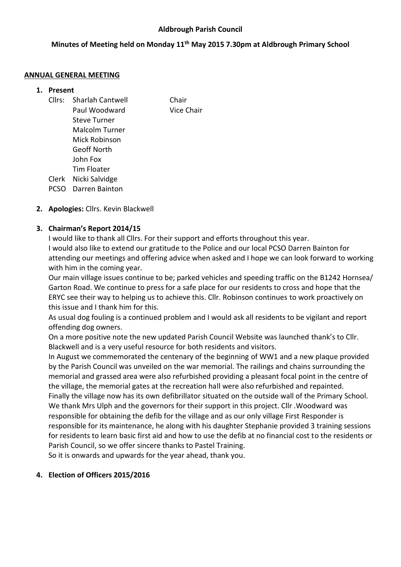### **Aldbrough Parish Council**

### **Minutes of Meeting held on Monday 11th May 2015 7.30pm at Aldbrough Primary School**

#### **ANNUAL GENERAL MEETING**

#### **1. Present**

Cllrs: Sharlah Cantwell Chair Paul Woodward Vice Chair Steve Turner Malcolm Turner Mick Robinson Geoff North John Fox Tim Floater Clerk Nicki Salvidge PCSO Darren Bainton

### **2. Apologies:** Cllrs. Kevin Blackwell

### **3. Chairman's Report 2014/15**

I would like to thank all Cllrs. For their support and efforts throughout this year. I would also like to extend our gratitude to the Police and our local PCSO Darren Bainton for attending our meetings and offering advice when asked and I hope we can look forward to working with him in the coming year.

Our main village issues continue to be; parked vehicles and speeding traffic on the B1242 Hornsea/ Garton Road. We continue to press for a safe place for our residents to cross and hope that the ERYC see their way to helping us to achieve this. Cllr. Robinson continues to work proactively on this issue and I thank him for this.

As usual dog fouling is a continued problem and I would ask all residents to be vigilant and report offending dog owners.

On a more positive note the new updated Parish Council Website was launched thank's to Cllr. Blackwell and is a very useful resource for both residents and visitors.

In August we commemorated the centenary of the beginning of WW1 and a new plaque provided by the Parish Council was unveiled on the war memorial. The railings and chains surrounding the memorial and grassed area were also refurbished providing a pleasant focal point in the centre of the village, the memorial gates at the recreation hall were also refurbished and repainted. Finally the village now has its own defibrillator situated on the outside wall of the Primary School.

We thank Mrs Ulph and the governors for their support in this project. Cllr .Woodward was responsible for obtaining the defib for the village and as our only village First Responder is responsible for its maintenance, he along with his daughter Stephanie provided 3 training sessions for residents to learn basic first aid and how to use the defib at no financial cost to the residents or Parish Council, so we offer sincere thanks to Pastel Training.

So it is onwards and upwards for the year ahead, thank you.

# **4. Election of Officers 2015/2016**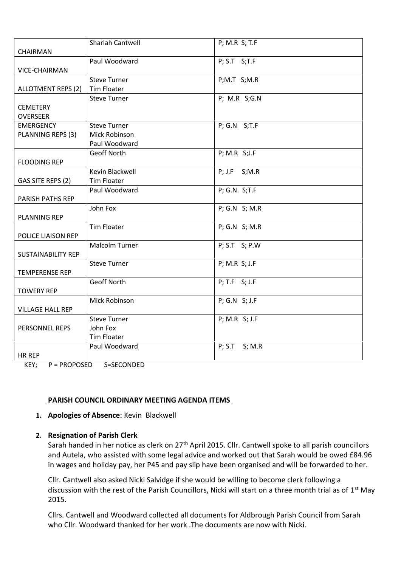|                           | Sharlah Cantwell      | P; M.R S; T.F       |
|---------------------------|-----------------------|---------------------|
| CHAIRMAN                  | Paul Woodward         | P; S.T S;T.F        |
| VICE-CHAIRMAN             |                       |                     |
|                           | <b>Steve Turner</b>   | P;M.T S;M.R         |
| <b>ALLOTMENT REPS (2)</b> | <b>Tim Floater</b>    |                     |
|                           | <b>Steve Turner</b>   | P; M.R S;G.N        |
| <b>CEMETERY</b>           |                       |                     |
| <b>OVERSEER</b>           |                       |                     |
| <b>EMERGENCY</b>          | <b>Steve Turner</b>   | P; G.N S;T.F        |
| PLANNING REPS (3)         | Mick Robinson         |                     |
|                           | Paul Woodward         |                     |
|                           | <b>Geoff North</b>    | P; M.R S; J.F       |
| <b>FLOODING REP</b>       |                       |                     |
|                           | Kevin Blackwell       | $P$ ; J.F $S$ ; M.R |
| GAS SITE REPS (2)         | <b>Tim Floater</b>    |                     |
|                           | Paul Woodward         | P; G.N. S; T.F      |
| <b>PARISH PATHS REP</b>   |                       |                     |
| <b>PLANNING REP</b>       | John Fox              | P; G.N S; M.R       |
|                           | <b>Tim Floater</b>    | P; G.N S; M.R       |
| POLICE LIAISON REP        |                       |                     |
|                           | <b>Malcolm Turner</b> | P; S.T S; P.W       |
| <b>SUSTAINABILITY REP</b> |                       |                     |
|                           | <b>Steve Turner</b>   | P; M.R S; J.F       |
| <b>TEMPERENSE REP</b>     |                       |                     |
|                           | <b>Geoff North</b>    | $P$ ; T.F $S$ ; J.F |
| <b>TOWERY REP</b>         |                       |                     |
|                           | Mick Robinson         | P; G.N S; J.F       |
| <b>VILLAGE HALL REP</b>   |                       |                     |
|                           | <b>Steve Turner</b>   | P; M.R S; J.F       |
| PERSONNEL REPS            | John Fox              |                     |
|                           | <b>Tim Floater</b>    |                     |
|                           | Paul Woodward         | $P$ ; S.T<br>S; M.R |
| <b>HR REP</b>             |                       |                     |

KEY; P = PROPOSED S=SECONDED

#### **PARISH COUNCIL ORDINARY MEETING AGENDA ITEMS**

#### **1. Apologies of Absence**: Kevin Blackwell

#### **2. Resignation of Parish Clerk**

Sarah handed in her notice as clerk on 27<sup>th</sup> April 2015. Cllr. Cantwell spoke to all parish councillors and Autela, who assisted with some legal advice and worked out that Sarah would be owed £84.96 in wages and holiday pay, her P45 and pay slip have been organised and will be forwarded to her.

Cllr. Cantwell also asked Nicki Salvidge if she would be willing to become clerk following a discussion with the rest of the Parish Councillors, Nicki will start on a three month trial as of  $1<sup>st</sup>$  May 2015.

Cllrs. Cantwell and Woodward collected all documents for Aldbrough Parish Council from Sarah who Cllr. Woodward thanked for her work .The documents are now with Nicki.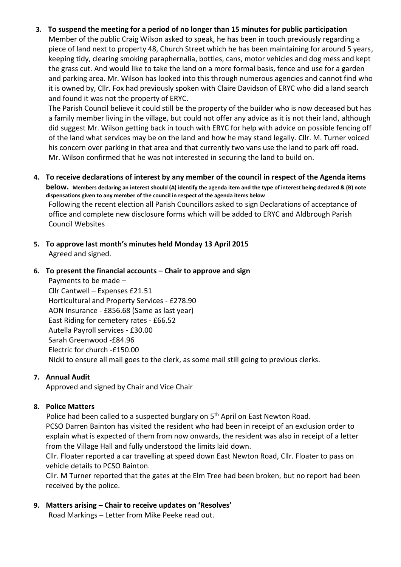# **3. To suspend the meeting for a period of no longer than 15 minutes for public participation**

Member of the public Craig Wilson asked to speak, he has been in touch previously regarding a piece of land next to property 48, Church Street which he has been maintaining for around 5 years, keeping tidy, clearing smoking paraphernalia, bottles, cans, motor vehicles and dog mess and kept the grass cut. And would like to take the land on a more formal basis, fence and use for a garden and parking area. Mr. Wilson has looked into this through numerous agencies and cannot find who it is owned by, Cllr. Fox had previously spoken with Claire Davidson of ERYC who did a land search and found it was not the property of ERYC.

The Parish Council believe it could still be the property of the builder who is now deceased but has a family member living in the village, but could not offer any advice as it is not their land, although did suggest Mr. Wilson getting back in touch with ERYC for help with advice on possible fencing off of the land what services may be on the land and how he may stand legally. Cllr. M. Turner voiced his concern over parking in that area and that currently two vans use the land to park off road. Mr. Wilson confirmed that he was not interested in securing the land to build on.

- **4. To receive declarations of interest by any member of the council in respect of the Agenda items below. Members declaring an interest should (A) identify the agenda item and the type of interest being declared & (B) note dispensations given to any member of the council in respect of the agenda items below** Following the recent election all Parish Councillors asked to sign Declarations of acceptance of office and complete new disclosure forms which will be added to ERYC and Aldbrough Parish Council Websites
- **5. To approve last month's minutes held Monday 13 April 2015** Agreed and signed.
- **6. To present the financial accounts – Chair to approve and sign**

Payments to be made – Cllr Cantwell – Expenses £21.51 Horticultural and Property Services - £278.90 AON Insurance - £856.68 (Same as last year) East Riding for cemetery rates - £66.52 Autella Payroll services - £30.00 Sarah Greenwood -£84.96 Electric for church -£150.00 Nicki to ensure all mail goes to the clerk, as some mail still going to previous clerks.

# **7. Annual Audit**

Approved and signed by Chair and Vice Chair

# **8. Police Matters**

Police had been called to a suspected burglary on 5<sup>th</sup> April on East Newton Road. PCSO Darren Bainton has visited the resident who had been in receipt of an exclusion order to explain what is expected of them from now onwards, the resident was also in receipt of a letter from the Village Hall and fully understood the limits laid down.

Cllr. Floater reported a car travelling at speed down East Newton Road, Cllr. Floater to pass on vehicle details to PCSO Bainton.

Cllr. M Turner reported that the gates at the Elm Tree had been broken, but no report had been received by the police.

# **9. Matters arising – Chair to receive updates on 'Resolves'**

Road Markings – Letter from Mike Peeke read out.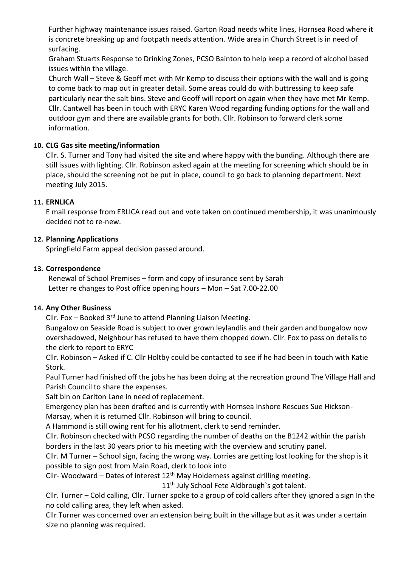Further highway maintenance issues raised. Garton Road needs white lines, Hornsea Road where it is concrete breaking up and footpath needs attention. Wide area in Church Street is in need of surfacing.

Graham Stuarts Response to Drinking Zones, PCSO Bainton to help keep a record of alcohol based issues within the village.

Church Wall – Steve & Geoff met with Mr Kemp to discuss their options with the wall and is going to come back to map out in greater detail. Some areas could do with buttressing to keep safe particularly near the salt bins. Steve and Geoff will report on again when they have met Mr Kemp. Cllr. Cantwell has been in touch with ERYC Karen Wood regarding funding options for the wall and outdoor gym and there are available grants for both. Cllr. Robinson to forward clerk some information.

# **10. CLG Gas site meeting/information**

Cllr. S. Turner and Tony had visited the site and where happy with the bunding. Although there are still issues with lighting. Cllr. Robinson asked again at the meeting for screening which should be in place, should the screening not be put in place, council to go back to planning department. Next meeting July 2015.

# **11. ERNLICA**

E mail response from ERLICA read out and vote taken on continued membership, it was unanimously decided not to re-new.

# **12. Planning Applications**

Springfield Farm appeal decision passed around.

### **13. Correspondence**

Renewal of School Premises – form and copy of insurance sent by Sarah Letter re changes to Post office opening hours – Mon – Sat 7.00-22.00

#### **14. Any Other Business**

Cllr. Fox – Booked  $3<sup>rd</sup>$  June to attend Planning Liaison Meeting.

Bungalow on Seaside Road is subject to over grown leylandlis and their garden and bungalow now overshadowed, Neighbour has refused to have them chopped down. Cllr. Fox to pass on details to the clerk to report to ERYC

Cllr. Robinson – Asked if C. Cllr Holtby could be contacted to see if he had been in touch with Katie Stork.

Paul Turner had finished off the jobs he has been doing at the recreation ground The Village Hall and Parish Council to share the expenses.

Salt bin on Carlton Lane in need of replacement.

Emergency plan has been drafted and is currently with Hornsea Inshore Rescues Sue Hickson- Marsay, when it is returned Cllr. Robinson will bring to council.

A Hammond is still owing rent for his allotment, clerk to send reminder.

Cllr. Robinson checked with PCSO regarding the number of deaths on the B1242 within the parish borders in the last 30 years prior to his meeting with the overview and scrutiny panel.

Cllr. M Turner – School sign, facing the wrong way. Lorries are getting lost looking for the shop is it possible to sign post from Main Road, clerk to look into

Cllr- Woodward – Dates of interest  $12<sup>th</sup>$  May Holderness against drilling meeting.

11<sup>th</sup> July School Fete Aldbrough's got talent.

Cllr. Turner – Cold calling, Cllr. Turner spoke to a group of cold callers after they ignored a sign In the no cold calling area, they left when asked.

Cllr Turner was concerned over an extension being built in the village but as it was under a certain size no planning was required.